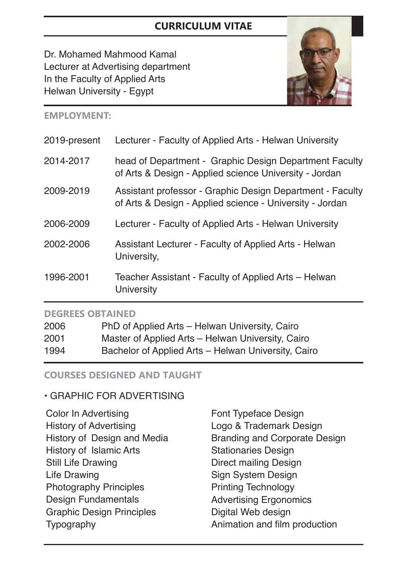# **CURRICULUM VITAE**

Dr. Mohamed Mahmood Kamal Lecturer at Advertising department In the Faculty of Applied Arts Helwan University - Egypt



#### **EMPLOYMENT:**

| 2019-present | Lecturer - Faculty of Applied Arts - Helwan University                                                                |
|--------------|-----------------------------------------------------------------------------------------------------------------------|
| 2014-2017    | head of Department - Graphic Design Department Faculty<br>of Arts & Design - Applied science University - Jordan      |
| 2009-2019    | Assistant professor - Graphic Design Department - Faculty<br>of Arts & Design - Applied science - University - Jordan |
| 2006-2009    | Lecturer - Faculty of Applied Arts - Helwan University                                                                |
| 2002-2006    | <b>Assistant Lecturer - Faculty of Applied Arts - Helwan</b><br>University,                                           |
| 1996-2001    | Teacher Assistant - Faculty of Applied Arts – Helwan<br>University                                                    |
|              |                                                                                                                       |

#### **DEGREES OBTAINED**

| 2006 | PhD of Applied Arts - Helwan University, Cairo      |
|------|-----------------------------------------------------|
| 2001 | Master of Applied Arts - Helwan University, Cairo   |
| 1994 | Bachelor of Applied Arts - Helwan University, Cairo |

#### **COURSES DESIGNED AND TAUGHT**

#### • GRAPHIC FOR ADVERTISING

Color In Advertising History of Advertising History of Design and Media History of Islamic Arts Still Life Drawing Life Drawing Photography Principles Design Fundamentals Graphic Design Principles **Typography** 

Font Typeface Design Logo & Trademark Design Branding and Corporate Design Stationaries Design Direct mailing Design Sign System Design Printing Technology Advertising Ergonomics Digital Web design Animation and film production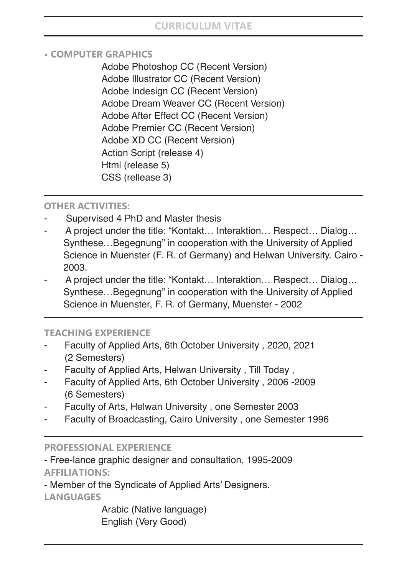## **CURRICULUM VITAE**

#### **• COMPUTER GRAPHICS**

Adobe Photoshop CC (Recent Version) Adobe Illustrator CC (Recent Version) Adobe Indesign CC (Recent Version) Adobe Dream Weaver CC (Recent Version) Adobe After Effect CC (Recent Version) Adobe Premier CC (Recent Version) Adobe XD CC (Recent Version) Action Script (release 4) Html (release 5) CSS (rellease 3)

### **OTHER ACTIVITIES:**

- Supervised 4 PhD and Master thesis
- A project under the title: "Kontakt… Interaktion… Respect… Dialog… Synthese…Begegnung" in cooperation with the University of Applied Science in Muenster (F. R. of Germany) and Helwan University. Cairo - 2003.
- A project under the title: "Kontakt… Interaktion… Respect… Dialog… Synthese…Begegnung" in cooperation with the University of Applied Science in Muenster, F. R. of Germany, Muenster - 2002

#### **TEACHING EXPERIENCE**

- Faculty of Applied Arts, 6th October University, 2020, 2021 (2 Semesters)
- Faculty of Applied Arts, Helwan University , Till Today ,
- Faculty of Applied Arts, 6th October University, 2006 -2009 (6 Semesters)
- Faculty of Arts, Helwan University, one Semester 2003
- Faculty of Broadcasting, Cairo University, one Semester 1996

#### **PROFESSIONAL EXPERIENCE**

- Free-lance graphic designer and consultation, 1995-2009 **AFFILIATIONS:**

- Member of the Syndicate of Applied Arts' Designers.

**LANGUAGES**

Arabic (Native language) English (Very Good)